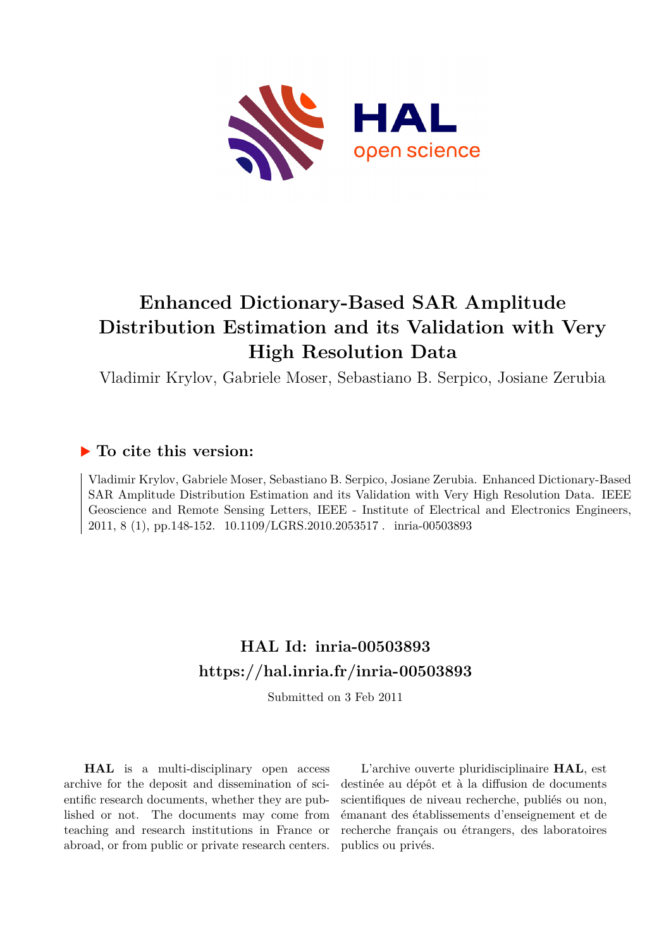

## **Enhanced Dictionary-Based SAR Amplitude Distribution Estimation and its Validation with Very High Resolution Data**

Vladimir Krylov, Gabriele Moser, Sebastiano B. Serpico, Josiane Zerubia

### **To cite this version:**

Vladimir Krylov, Gabriele Moser, Sebastiano B. Serpico, Josiane Zerubia. Enhanced Dictionary-Based SAR Amplitude Distribution Estimation and its Validation with Very High Resolution Data. IEEE Geoscience and Remote Sensing Letters, IEEE - Institute of Electrical and Electronics Engineers, 2011, 8 (1), pp.148-152. 10.1109/LGRS.2010.2053517. inria-00503893

## **HAL Id: inria-00503893 <https://hal.inria.fr/inria-00503893>**

Submitted on 3 Feb 2011

**HAL** is a multi-disciplinary open access archive for the deposit and dissemination of scientific research documents, whether they are published or not. The documents may come from teaching and research institutions in France or abroad, or from public or private research centers.

L'archive ouverte pluridisciplinaire **HAL**, est destinée au dépôt et à la diffusion de documents scientifiques de niveau recherche, publiés ou non, émanant des établissements d'enseignement et de recherche français ou étrangers, des laboratoires publics ou privés.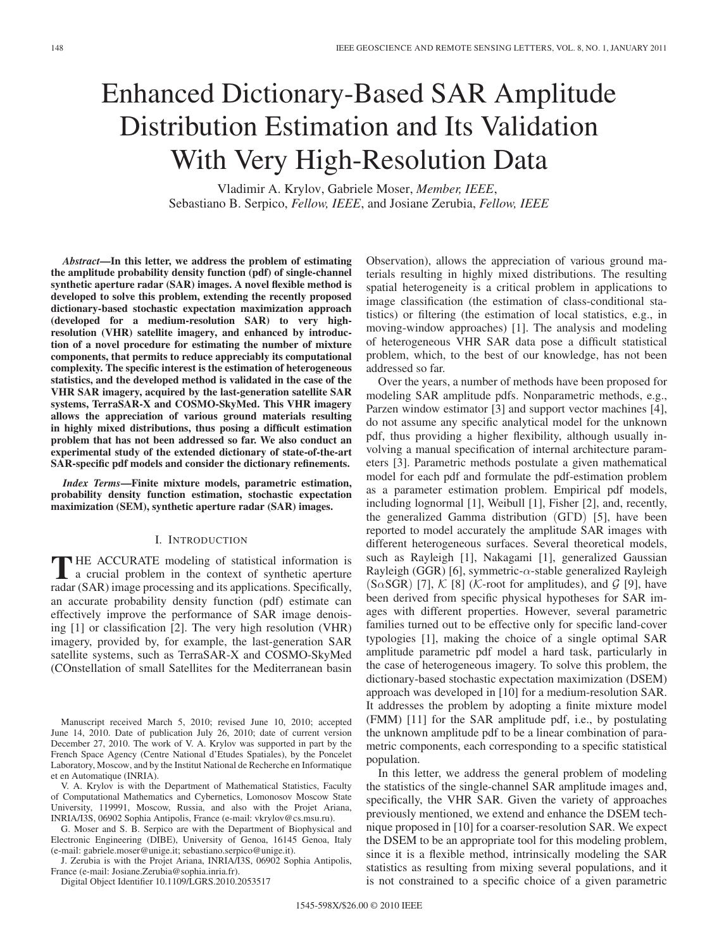# Enhanced Dictionary-Based SAR Amplitude Distribution Estimation and Its Validation With Very High-Resolution Data

Vladimir A. Krylov, Gabriele Moser, *Member, IEEE*, Sebastiano B. Serpico, *Fellow, IEEE*, and Josiane Zerubia, *Fellow, IEEE*

*Abstract***—In this letter, we address the problem of estimating the amplitude probability density function (pdf) of single-channel synthetic aperture radar (SAR) images. A novel flexible method is developed to solve this problem, extending the recently proposed dictionary-based stochastic expectation maximization approach (developed for a medium-resolution SAR) to very highresolution (VHR) satellite imagery, and enhanced by introduction of a novel procedure for estimating the number of mixture components, that permits to reduce appreciably its computational complexity. The specific interest is the estimation of heterogeneous statistics, and the developed method is validated in the case of the VHR SAR imagery, acquired by the last-generation satellite SAR systems, TerraSAR-X and COSMO-SkyMed. This VHR imagery allows the appreciation of various ground materials resulting in highly mixed distributions, thus posing a difficult estimation problem that has not been addressed so far. We also conduct an experimental study of the extended dictionary of state-of-the-art SAR-specific pdf models and consider the dictionary refinements.**

*Index Terms***—Finite mixture models, parametric estimation, probability density function estimation, stochastic expectation maximization (SEM), synthetic aperture radar (SAR) images.**

#### I. INTRODUCTION

THE ACCURATE modeling of statistical information is<br>a crucial problem in the context of synthetic aperture<br>and (SAD) integrates approaching and its applications Specifically **HE ACCURATE** modeling of statistical information is radar (SAR) image processing and its applications. Specifically, an accurate probability density function (pdf) estimate can effectively improve the performance of SAR image denoising [1] or classification [2]. The very high resolution (VHR) imagery, provided by, for example, the last-generation SAR satellite systems, such as TerraSAR-X and COSMO-SkyMed (COnstellation of small Satellites for the Mediterranean basin

V. A. Krylov is with the Department of Mathematical Statistics, Faculty of Computational Mathematics and Cybernetics, Lomonosov Moscow State University, 119991, Moscow, Russia, and also with the Projet Ariana, INRIA/I3S, 06902 Sophia Antipolis, France (e-mail: vkrylov@cs.msu.ru).

G. Moser and S. B. Serpico are with the Department of Biophysical and Electronic Engineering (DIBE), University of Genoa, 16145 Genoa, Italy (e-mail: gabriele.moser@unige.it; sebastiano.serpico@unige.it).

J. Zerubia is with the Projet Ariana, INRIA/I3S, 06902 Sophia Antipolis, France (e-mail: Josiane.Zerubia@sophia.inria.fr).

Digital Object Identifier 10.1109/LGRS.2010.2053517

Observation), allows the appreciation of various ground materials resulting in highly mixed distributions. The resulting spatial heterogeneity is a critical problem in applications to image classification (the estimation of class-conditional statistics) or filtering (the estimation of local statistics, e.g., in moving-window approaches) [1]. The analysis and modeling of heterogeneous VHR SAR data pose a difficult statistical problem, which, to the best of our knowledge, has not been addressed so far.

Over the years, a number of methods have been proposed for modeling SAR amplitude pdfs. Nonparametric methods, e.g., Parzen window estimator [3] and support vector machines [4], do not assume any specific analytical model for the unknown pdf, thus providing a higher flexibility, although usually involving a manual specification of internal architecture parameters [3]. Parametric methods postulate a given mathematical model for each pdf and formulate the pdf-estimation problem as a parameter estimation problem. Empirical pdf models, including lognormal [1], Weibull [1], Fisher [2], and, recently, the generalized Gamma distribution (GΓD) [5], have been reported to model accurately the amplitude SAR images with different heterogeneous surfaces. Several theoretical models, such as Rayleigh [1], Nakagami [1], generalized Gaussian Rayleigh (GGR) [6], symmetric- $\alpha$ -stable generalized Rayleigh  $(S \alpha SGR)$  [7], K [8] (K-root for amplitudes), and G [9], have been derived from specific physical hypotheses for SAR images with different properties. However, several parametric families turned out to be effective only for specific land-cover typologies [1], making the choice of a single optimal SAR amplitude parametric pdf model a hard task, particularly in the case of heterogeneous imagery. To solve this problem, the dictionary-based stochastic expectation maximization (DSEM) approach was developed in [10] for a medium-resolution SAR. It addresses the problem by adopting a finite mixture model (FMM) [11] for the SAR amplitude pdf, i.e., by postulating the unknown amplitude pdf to be a linear combination of parametric components, each corresponding to a specific statistical population.

In this letter, we address the general problem of modeling the statistics of the single-channel SAR amplitude images and, specifically, the VHR SAR. Given the variety of approaches previously mentioned, we extend and enhance the DSEM technique proposed in [10] for a coarser-resolution SAR. We expect the DSEM to be an appropriate tool for this modeling problem, since it is a flexible method, intrinsically modeling the SAR statistics as resulting from mixing several populations, and it is not constrained to a specific choice of a given parametric

Manuscript received March 5, 2010; revised June 10, 2010; accepted June 14, 2010. Date of publication July 26, 2010; date of current version December 27, 2010. The work of V. A. Krylov was supported in part by the French Space Agency (Centre National d'Etudes Spatiales), by the Poncelet Laboratory, Moscow, and by the Institut National de Recherche en Informatique et en Automatique (INRIA).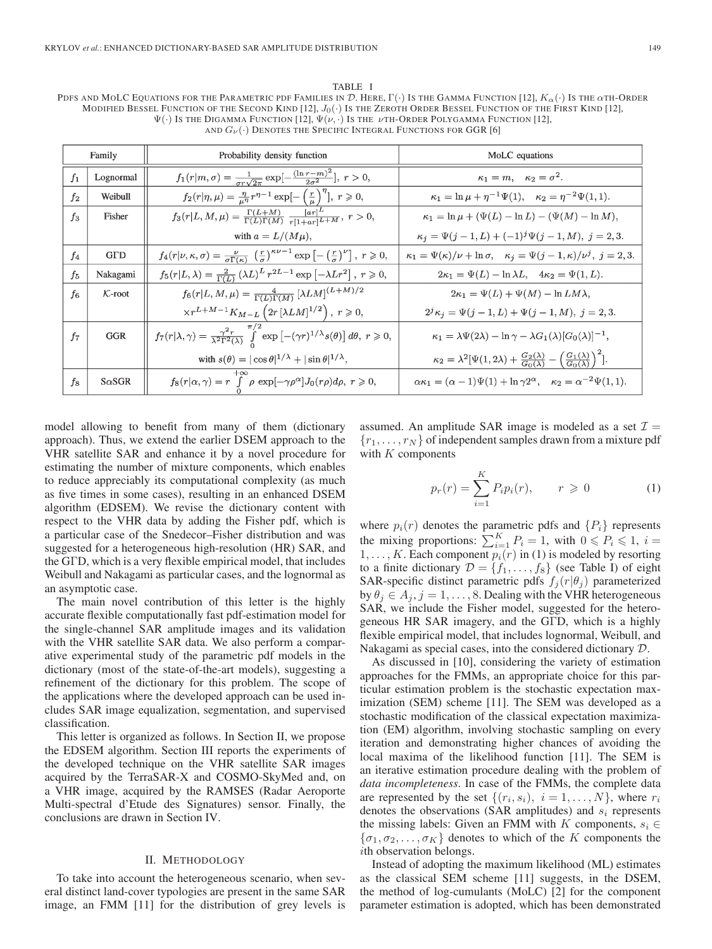#### TABLE I

PDFS AND MOLC EQUATIONS FOR THE PARAMETRIC PDF FAMILIES IN  $\mathcal D$ . HERE,  $\Gamma(\cdot)$  Is the GAMMA FUNCTION [12],  $K_\alpha(\cdot)$  Is the  $\alpha$ th-Order MODIFIED BESSEL FUNCTION OF THE SECOND KIND  $[12]$ ,  $J_0(\cdot)$  Is the Zeroth Order Bessel Function of the First Kind  $[12]$ ,  $\Psi(\cdot)$  Is the Digamma Function [12],  $\Psi(\nu, \cdot)$  Is the  $\nu$ th-Order Polygamma Function [12], AND  $G_{\nu}(\cdot)$  DENOTES THE SPECIFIC INTEGRAL FUNCTIONS FOR GGR [6]

| Family         |                 | Probability density function                                                                                                                                               | MoLC equations                                                                                                                     |  |  |  |
|----------------|-----------------|----------------------------------------------------------------------------------------------------------------------------------------------------------------------------|------------------------------------------------------------------------------------------------------------------------------------|--|--|--|
| $f_1$          | Lognormal       | $f_1(r m,\sigma) = \frac{1}{\sigma r \sqrt{2\pi}} \exp[-\frac{(\ln r - m)^2}{2\sigma^2}], r > 0,$                                                                          | $\kappa_1 = m$ , $\kappa_2 = \sigma^2$ .                                                                                           |  |  |  |
| f <sub>2</sub> | Weibull         | $f_2(r \eta,\mu) = \frac{\eta}{\mu\eta}r^{\eta-1}\exp[-\left(\frac{r}{\mu}\right)^{\eta}], r \geqslant 0,$                                                                 | $\kappa_1 = \ln \mu + \eta^{-1} \Psi(1), \quad \kappa_2 = \eta^{-2} \Psi(1,1).$                                                    |  |  |  |
| $f_3$          | Fisher          | $f_3(r L,M,\mu)=\tfrac{\Gamma(L+M)}{\Gamma(L)\Gamma(M)}\,\tfrac{[ar]^L}{r[1+ar]^L+M},\;r>0,$                                                                               | $\kappa_1 = \ln \mu + (\Psi(L) - \ln L) - (\Psi(M) - \ln M),$                                                                      |  |  |  |
|                |                 | with $a = L/(M\mu)$ ,                                                                                                                                                      | $\kappa_j = \Psi(j-1,L) + (-1)^j \Psi(j-1,M), j = 2,3.$                                                                            |  |  |  |
| $f_4$          | G <sub>CD</sub> | $f_4(r \nu,\kappa,\sigma)=\frac{\nu}{\sigma\Gamma(\kappa)}\left(\frac{r}{\sigma}\right)^{\kappa\nu-1}\exp\left[-\left(\frac{r}{\sigma}\right)^{\nu}\right], r\geqslant 0,$ | $\kappa_1 = \Psi(\kappa)/\nu + \ln \sigma$ , $\kappa_j = \Psi(j-1,\kappa)/\nu^j$ , $j = 2,3$ .                                     |  |  |  |
| $f_5$          | Nakagami        | $f_5(r L,\lambda) = \frac{2}{\Gamma(L)} (\lambda L)^L r^{2L-1} \exp \left[-\lambda L r^2\right], r \geqslant 0,$                                                           | $2\kappa_1 = \Psi(L) - \ln \lambda L$ , $4\kappa_2 = \Psi(1, L)$ .                                                                 |  |  |  |
| $f_6$          | $K$ -root       | $f_6(r L, M, \mu) = \frac{4}{\Gamma(L)\Gamma(M)} [\lambda LM]^{(L+M)/2}$                                                                                                   | $2\kappa_1 = \Psi(L) + \Psi(M) - \ln LM\lambda$ ,                                                                                  |  |  |  |
|                |                 | $\times r^{L+M-1}K_{M-L}\left(2r\left[\lambda LM\right]^{1/2}\right),\;r\geqslant 0,$                                                                                      | $2^{j}\kappa_j = \Psi(j-1,L) + \Psi(j-1,M), j = 2,3.$                                                                              |  |  |  |
| $f_7$          | <b>GGR</b>      | $f_7(r \lambda,\gamma)=\frac{\gamma^2 r}{\lambda^2 \Gamma^2(\lambda)}\int\limits_0^{\pi/2} \exp\left[-(\gamma r)^{1/\lambda} s(\theta)\right]d\theta, \ r\geqslant 0,$     | $\kappa_1 = \lambda \Psi(2\lambda) - \ln \gamma - \lambda G_1(\lambda) [G_0(\lambda)]^{-1},$                                       |  |  |  |
|                |                 | with $s(\theta) =  \cos \theta ^{1/\lambda} +  \sin \theta ^{1/\lambda}$ ,                                                                                                 | $\kappa_2 = \lambda^2 [\Psi(1, 2\lambda) + \frac{G_2(\lambda)}{G_0(\lambda)} - \left(\frac{G_1(\lambda)}{G_0(\lambda)}\right)^2].$ |  |  |  |
| $f_8$          | $S\alpha SGR$   | $f_8(r \alpha,\gamma) = r \int\limits_0^{+\infty} \rho \, \exp[-\gamma \rho^\alpha] J_0(r \rho) d\rho, \; r \geqslant 0,$                                                  | $\alpha \kappa_1 = (\alpha - 1)\Psi(1) + \ln \gamma 2^{\alpha}, \quad \kappa_2 = \alpha^{-2} \Psi(1, 1).$                          |  |  |  |

model allowing to benefit from many of them (dictionary approach). Thus, we extend the earlier DSEM approach to the VHR satellite SAR and enhance it by a novel procedure for estimating the number of mixture components, which enables to reduce appreciably its computational complexity (as much as five times in some cases), resulting in an enhanced DSEM algorithm (EDSEM). We revise the dictionary content with respect to the VHR data by adding the Fisher pdf, which is a particular case of the Snedecor–Fisher distribution and was suggested for a heterogeneous high-resolution (HR) SAR, and the GΓD, which is a very flexible empirical model, that includes Weibull and Nakagami as particular cases, and the lognormal as an asymptotic case.

The main novel contribution of this letter is the highly accurate flexible computationally fast pdf-estimation model for the single-channel SAR amplitude images and its validation with the VHR satellite SAR data. We also perform a comparative experimental study of the parametric pdf models in the dictionary (most of the state-of-the-art models), suggesting a refinement of the dictionary for this problem. The scope of the applications where the developed approach can be used includes SAR image equalization, segmentation, and supervised classification.

This letter is organized as follows. In Section II, we propose the EDSEM algorithm. Section III reports the experiments of the developed technique on the VHR satellite SAR images acquired by the TerraSAR-X and COSMO-SkyMed and, on a VHR image, acquired by the RAMSES (Radar Aeroporte Multi-spectral d'Etude des Signatures) sensor. Finally, the conclusions are drawn in Section IV.

#### II. METHODOLOGY

To take into account the heterogeneous scenario, when several distinct land-cover typologies are present in the same SAR image, an FMM [11] for the distribution of grey levels is assumed. An amplitude SAR image is modeled as a set  $\mathcal{I} =$  ${r_1, \ldots, r_N}$  of independent samples drawn from a mixture pdf with  $K$  components

$$
p_r(r) = \sum_{i=1}^{K} P_i p_i(r), \qquad r \geqslant 0 \tag{1}
$$

where  $p_i(r)$  denotes the parametric pdfs and  $\{P_i\}$  represents the mixing proportions:  $\sum_{i=1}^{K} P_i = 1$ , with  $0 \le P_i \le 1$ ,  $i =$  $1, \ldots, K$ . Each component  $p_i(r)$  in (1) is modeled by resorting to a finite dictionary  $\mathcal{D} = \{f_1, \ldots, f_8\}$  (see Table I) of eight SAR-specific distinct parametric pdfs  $f_j(r|\theta_j)$  parameterized by  $\theta_j \in A_j$ ,  $j = 1, \ldots, 8$ . Dealing with the VHR heterogeneous SAR, we include the Fisher model, suggested for the heterogeneous HR SAR imagery, and the GΓD, which is a highly flexible empirical model, that includes lognormal, Weibull, and Nakagami as special cases, into the considered dictionary D.

As discussed in [10], considering the variety of estimation approaches for the FMMs, an appropriate choice for this particular estimation problem is the stochastic expectation maximization (SEM) scheme [11]. The SEM was developed as a stochastic modification of the classical expectation maximization (EM) algorithm, involving stochastic sampling on every iteration and demonstrating higher chances of avoiding the local maxima of the likelihood function [11]. The SEM is an iterative estimation procedure dealing with the problem of *data incompleteness*. In case of the FMMs, the complete data are represented by the set  $\{(r_i, s_i), i = 1, \ldots, N\}$ , where  $r_i$ denotes the observations (SAR amplitudes) and  $s_i$  represents the missing labels: Given an FMM with K components,  $s_i \in$  $\{\sigma_1, \sigma_2, \ldots, \sigma_K\}$  denotes to which of the K components the ith observation belongs.

Instead of adopting the maximum likelihood (ML) estimates as the classical SEM scheme [11] suggests, in the DSEM, the method of log-cumulants (MoLC) [2] for the component parameter estimation is adopted, which has been demonstrated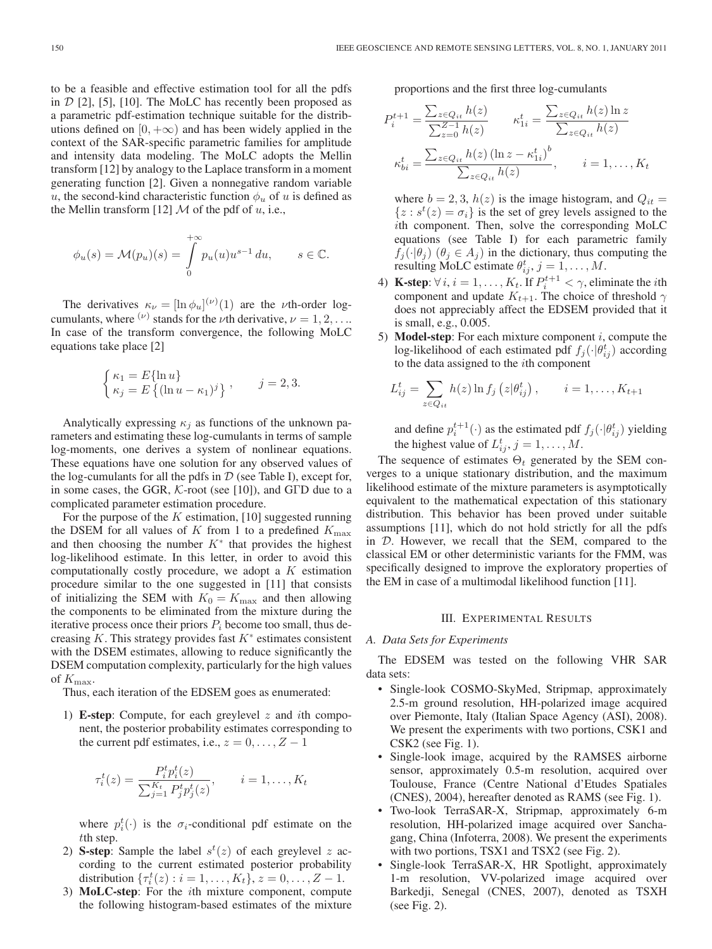to be a feasible and effective estimation tool for all the pdfs in  $D$  [2], [5], [10]. The MoLC has recently been proposed as a parametric pdf-estimation technique suitable for the distributions defined on  $[0, +\infty)$  and has been widely applied in the context of the SAR-specific parametric families for amplitude and intensity data modeling. The MoLC adopts the Mellin transform [12] by analogy to the Laplace transform in a moment generating function [2]. Given a nonnegative random variable u, the second-kind characteristic function  $\phi_u$  of u is defined as the Mellin transform [12]  $M$  of the pdf of  $u$ , i.e.,

$$
\phi_u(s) = \mathcal{M}(p_u)(s) = \int_0^{+\infty} p_u(u)u^{s-1} du, \qquad s \in \mathbb{C}.
$$

The derivatives  $\kappa_{\nu} = [\ln \phi_u]^{(\nu)}(1)$  are the *v*th-order logcumulants, where  $(\nu)$  stands for the  $\nu$ th derivative,  $\nu = 1, 2, \ldots$ In case of the transform convergence, the following MoLC equations take place [2]

$$
\begin{cases} \kappa_1 = E\{\ln u\} \\ \kappa_j = E\left\{(\ln u - \kappa_1)^j\right\} \end{cases}, \qquad j = 2, 3.
$$

Analytically expressing  $\kappa_i$  as functions of the unknown parameters and estimating these log-cumulants in terms of sample log-moments, one derives a system of nonlinear equations. These equations have one solution for any observed values of the log-cumulants for all the pdfs in  $D$  (see Table I), except for, in some cases, the GGR, K-root (see [10]), and GΓD due to a complicated parameter estimation procedure.

For the purpose of the  $K$  estimation, [10] suggested running the DSEM for all values of K from 1 to a predefined  $K_{\text{max}}$ and then choosing the number  $K^*$  that provides the highest log-likelihood estimate. In this letter, in order to avoid this computationally costly procedure, we adopt a  $K$  estimation procedure similar to the one suggested in [11] that consists of initializing the SEM with  $K_0 = K_{\text{max}}$  and then allowing the components to be eliminated from the mixture during the iterative process once their priors  $P_i$  become too small, thus decreasing  $K$ . This strategy provides fast  $K^*$  estimates consistent with the DSEM estimates, allowing to reduce significantly the DSEM computation complexity, particularly for the high values of  $K_{\text{max}}$ .

Thus, each iteration of the EDSEM goes as enumerated:

1) **E-step**: Compute, for each greylevel z and ith component, the posterior probability estimates corresponding to the current pdf estimates, i.e.,  $z = 0, \ldots, Z - 1$ 

$$
\tau_i^t(z) = \frac{P_i^t p_i^t(z)}{\sum_{j=1}^{K_t} P_j^t p_j^t(z)}, \qquad i = 1, \dots, K_t
$$

where  $p_i^t(\cdot)$  is the  $\sigma_i$ -conditional pdf estimate on the tth step.

- 2) **S-step**: Sample the label  $s^t(z)$  of each greylevel z according to the current estimated posterior probability distribution  $\{\tau_i^t(z) : i = 1, ..., K_t\}, z = 0, ..., Z - 1.$
- 3) **MoLC-step**: For the ith mixture component, compute the following histogram-based estimates of the mixture

proportions and the first three log-cumulants

$$
P_{i}^{t+1} = \frac{\sum_{z \in Q_{it}} h(z)}{\sum_{z=0}^{Z-1} h(z)} \qquad \kappa_{1i}^{t} = \frac{\sum_{z \in Q_{it}} h(z) \ln z}{\sum_{z \in Q_{it}} h(z)}
$$

$$
\kappa_{bi}^{t} = \frac{\sum_{z \in Q_{it}} h(z) (\ln z - \kappa_{1i}^{t})^{b}}{\sum_{z \in Q_{it}} h(z)}, \qquad i = 1, ..., K_{t}
$$

where  $b = 2, 3, h(z)$  is the image histogram, and  $Q_{it} =$  $\{z : s^t(z) = \sigma_i\}$  is the set of grey levels assigned to the ith component. Then, solve the corresponding MoLC equations (see Table I) for each parametric family  $f_i(\cdot|\theta_i)$  ( $\theta_i \in A_i$ ) in the dictionary, thus computing the resulting MoLC estimate  $\theta_{ij}^t$ ,  $j = 1, \ldots, M$ .

- 4) **K-step:**  $\forall i, i = 1, ..., K_t$ . If  $P_i^{t+1} < \gamma$ , eliminate the *i*th component and update  $K_{t+1}$ . The choice of threshold  $\gamma$ does not appreciably affect the EDSEM provided that it is small, e.g., 0.005.
- 5) **Model-step**: For each mixture component  $i$ , compute the log-likelihood of each estimated pdf  $f_j(\cdot|\theta_{ij}^t)$  according to the data assigned to the ith component

$$
L_{ij}^t = \sum_{z \in Q_{it}} h(z) \ln f_j(z|\theta_{ij}^t), \qquad i = 1, \ldots, K_{t+1}
$$

and define  $p_i^{t+1}(\cdot)$  as the estimated pdf  $f_j(\cdot|\theta_{ij}^t)$  yielding the highest value of  $L_{ij}^t$ ,  $j = 1, \ldots, M$ .

The sequence of estimates  $\Theta_t$  generated by the SEM converges to a unique stationary distribution, and the maximum likelihood estimate of the mixture parameters is asymptotically equivalent to the mathematical expectation of this stationary distribution. This behavior has been proved under suitable assumptions [11], which do not hold strictly for all the pdfs in D. However, we recall that the SEM, compared to the classical EM or other deterministic variants for the FMM, was specifically designed to improve the exploratory properties of the EM in case of a multimodal likelihood function [11].

#### III. EXPERIMENTAL RESULTS

#### *A. Data Sets for Experiments*

The EDSEM was tested on the following VHR SAR data sets:

- Single-look COSMO-SkyMed, Stripmap, approximately 2.5-m ground resolution, HH-polarized image acquired over Piemonte, Italy (Italian Space Agency (ASI), 2008). We present the experiments with two portions, CSK1 and CSK2 (see Fig. 1).
- Single-look image, acquired by the RAMSES airborne sensor, approximately 0.5-m resolution, acquired over Toulouse, France (Centre National d'Etudes Spatiales (CNES), 2004), hereafter denoted as RAMS (see Fig. 1).
- Two-look TerraSAR-X, Stripmap, approximately 6-m resolution, HH-polarized image acquired over Sanchagang, China (Infoterra, 2008). We present the experiments with two portions, TSX1 and TSX2 (see Fig. 2).
- Single-look TerraSAR-X, HR Spotlight, approximately 1-m resolution, VV-polarized image acquired over Barkedji, Senegal (CNES, 2007), denoted as TSXH (see Fig. 2).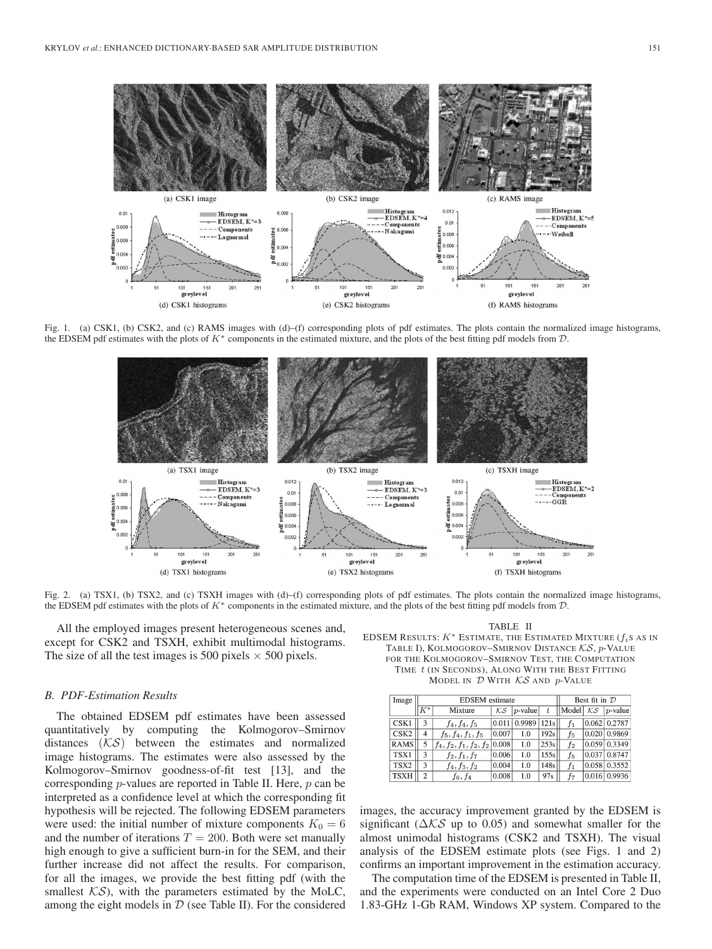

Fig. 1. (a) CSK1, (b) CSK2, and (c) RAMS images with (d)–(f) corresponding plots of pdf estimates. The plots contain the normalized image histograms, the EDSEM pdf estimates with the plots of K<sup>∗</sup> components in the estimated mixture, and the plots of the best fitting pdf models from D.



Fig. 2. (a) TSX1, (b) TSX2, and (c) TSXH images with (d)–(f) corresponding plots of pdf estimates. The plots contain the normalized image histograms, the EDSEM pdf estimates with the plots of K<sup>∗</sup> components in the estimated mixture, and the plots of the best fitting pdf models from D.

All the employed images present heterogeneous scenes and, except for CSK2 and TSXH, exhibit multimodal histograms. The size of all the test images is 500 pixels  $\times$  500 pixels.

#### *B. PDF-Estimation Results*

The obtained EDSEM pdf estimates have been assessed quantitatively by computing the Kolmogorov–Smirnov distances  $(KS)$  between the estimates and normalized image histograms. The estimates were also assessed by the Kolmogorov–Smirnov goodness-of-fit test [13], and the corresponding  $p$ -values are reported in Table II. Here,  $p$  can be interpreted as a confidence level at which the corresponding fit hypothesis will be rejected. The following EDSEM parameters were used: the initial number of mixture components  $K_0 = 6$ and the number of iterations  $T = 200$ . Both were set manually high enough to give a sufficient burn-in for the SEM, and their further increase did not affect the results. For comparison, for all the images, we provide the best fitting pdf (with the smallest  $\mathcal{KS}$ ), with the parameters estimated by the MoLC, among the eight models in  $D$  (see Table II). For the considered

TABLE II

EDSEM RESULTS:  $K^*$  ESTIMATE, THE ESTIMATED MIXTURE ( $f_i$ s as in TABLE I), KOLMOGOROV–SMIRNOV DISTANCE KS, p-VALUE FOR THE KOLMOGOROV–SMIRNOV TEST, THE COMPUTATION TIME t (IN SECONDS), ALONG WITH THE BEST FITTING

MODEL IN D WITH KS AND p-VALUE

| Image            |       | <b>EDSEM</b> estimate             | Best fit in $D$   |                |      |                           |  |                |  |
|------------------|-------|-----------------------------------|-------------------|----------------|------|---------------------------|--|----------------|--|
|                  | $K^*$ | Mixture                           | $K_{\mathcal{S}}$ | $ p$ -value    |      | $\vert$  Model $\vert$ KS |  | $ p$ -value    |  |
| CSK1             | 3     | $f_4, f_4, f_5$                   |                   | $0.011$ 0.9989 | 121s |                           |  | $0.062$ 0.2787 |  |
| CSK <sub>2</sub> | 4     | $f_5, f_4, f_1, f_5$              | 0.007             | 1.0            | 192s | f5                        |  | $0.020$ 0.9869 |  |
| <b>RAMS</b>      | 5     | $f_4, f_2, f_1, f_2, f_2   0.008$ |                   | 1.0            | 253s | $f_2$                     |  | 0.059 0.3349   |  |
| TSX1             | 3     | $f_2, f_1, f_7$                   | 0.006             | 1.0            | 155s | f5                        |  | $0.037$ 0.8747 |  |
| TSX2             | 3     | $f_4, f_3, f_2$                   | 0.004             | 1.0            | 148s | f1                        |  | 0.058 0.3552   |  |
| <b>TSXH</b>      | 2     | $f_6, f_4$                        | 0.008             | 1.0            | 97s  | f7                        |  | 0.016 0.9936   |  |

images, the accuracy improvement granted by the EDSEM is significant ( $\Delta$ KS up to 0.05) and somewhat smaller for the almost unimodal histograms (CSK2 and TSXH). The visual analysis of the EDSEM estimate plots (see Figs. 1 and 2) confirms an important improvement in the estimation accuracy.

The computation time of the EDSEM is presented in Table II, and the experiments were conducted on an Intel Core 2 Duo 1.83-GHz 1-Gb RAM, Windows XP system. Compared to the